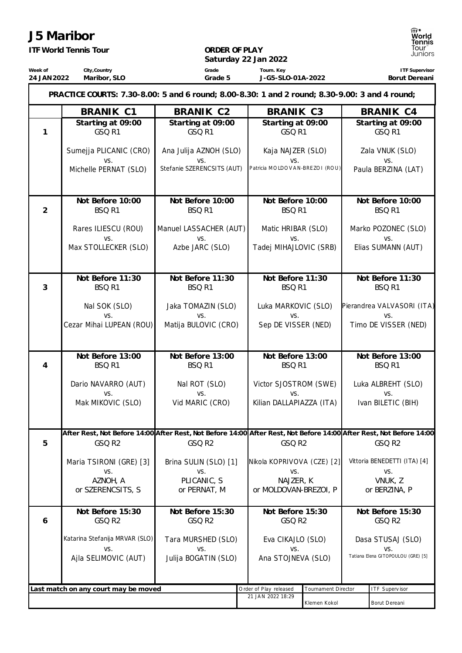## **J5 Maribor**

**Week of 24 JAN2022**

*ITF World Tennis Tour*

**City,Country Maribor, SLO**

# **ORDER OF PLAY**

**Saturday 22 Jan 2022 Grade Grade 5 Tourn. Key J-G5-SLO-01A-2022**

**ITF Supervisor Borut Dereani**

| PRACTICE COURTS: 7.30-8.00: 5 and 6 round; 8.00-8.30: 1 and 2 round; 8.30-9.00: 3 and 4 round; |                                       |                               |                            |                                                                                                                     |                                           |                                     |  |
|------------------------------------------------------------------------------------------------|---------------------------------------|-------------------------------|----------------------------|---------------------------------------------------------------------------------------------------------------------|-------------------------------------------|-------------------------------------|--|
|                                                                                                | <b>BRANIK C1</b>                      | <b>BRANIK C2</b>              | BRANIK C3                  |                                                                                                                     |                                           | <b>BRANIK C4</b>                    |  |
| 1                                                                                              | Starting at 09:00<br>GSQ R1           | Starting at 09:00<br>GSQ R1   |                            | Starting at 09:00<br>GSQ R1                                                                                         |                                           | Starting at 09:00<br>GSQ R1         |  |
|                                                                                                | Sumejja PLICANIC (CRO)<br>VS.         | Ana Julija AZNOH (SLO)<br>VS. | Kaja NAJZER (SLO)          |                                                                                                                     |                                           | Zala VNUK (SLO)<br>VS.              |  |
|                                                                                                | Michelle PERNAT (SLO)                 | Stefanie SZERENCSITS (AUT)    |                            | VS.<br>Patricia MOLDOVAN-BREZOI (ROU)                                                                               |                                           | Paula BERZINA (LAT)                 |  |
| $\overline{2}$                                                                                 | Not Before 10:00<br>BSQ <sub>R1</sub> | Not Before 10:00<br>BSQ R1    |                            | Not Before 10:00<br>BSQ R1                                                                                          |                                           | Not Before 10:00<br>BSQ R1          |  |
|                                                                                                | Rares ILIESCU (ROU)<br>VS.            | Manuel LASSACHER (AUT)<br>VS. | Matic HRIBAR (SLO)<br>VS.  |                                                                                                                     |                                           | Marko POZONEC (SLO)<br>VS.          |  |
|                                                                                                | Max STOLLECKER (SLO)                  | Azbe JARC (SLO)               | Tadej MIHAJLOVIC (SRB)     |                                                                                                                     |                                           | Elias SUMANN (AUT)                  |  |
| 3                                                                                              | Not Before 11:30<br>BSQ R1            | Not Before 11:30<br>BSQ R1    |                            | Not Before 11:30<br>BSQ R1                                                                                          |                                           | Not Before 11:30<br>BSQ R1          |  |
|                                                                                                | Nal SOK (SLO)<br>VS.                  | Jaka TOMAZIN (SLO)<br>VS.     | Luka MARKOVIC (SLO)        |                                                                                                                     |                                           | Pierandrea VALVASORI (ITA)<br>VS.   |  |
|                                                                                                | Cezar Mihai LUPEAN (ROU)              | Matija BULOVIC (CRO)          |                            | VS.<br>Sep DE VISSER (NED)                                                                                          |                                           | Timo DE VISSER (NED)                |  |
|                                                                                                | Not Before 13:00                      | Not Before 13:00              |                            | Not Before 13:00                                                                                                    |                                           | Not Before 13:00                    |  |
| $\overline{4}$                                                                                 | BSQ R1                                | BSQ R1                        |                            | BSQ R1                                                                                                              |                                           | BSQ <sub>R1</sub>                   |  |
|                                                                                                | Dario NAVARRO (AUT)<br>VS.            | Nal ROT (SLO)<br>VS.          | VS.                        | Victor SJOSTROM (SWE)                                                                                               |                                           | Luka ALBREHT (SLO)<br>VS.           |  |
|                                                                                                | Mak MIKOVIC (SLO)                     | Vid MARIC (CRO)               | Kilian DALLAPIAZZA (ITA)   |                                                                                                                     |                                           | Ivan BILETIC (BIH)                  |  |
|                                                                                                |                                       |                               |                            | After Rest, Not Before 14:00 After Rest, Not Before 14:00 After Rest, Not Before 14:00 After Rest, Not Before 14:00 |                                           |                                     |  |
| 5                                                                                              | GSQ R2                                | GSQ R2                        | GSQ R2                     |                                                                                                                     |                                           | GSQ R2                              |  |
|                                                                                                | Maria TSIRONI (GRE) [3]<br>VS.        | Brina SULIN (SLO) [1]<br>VS.  | VS.                        | Nikola KOPRIVOVA (CZE) [2]                                                                                          |                                           | Vittoria BENEDETTI (ITA) [4]<br>VS. |  |
|                                                                                                | AZNOH, A                              | PLICANIC, S                   | NAJZER, K                  |                                                                                                                     |                                           | VNUK, Z                             |  |
|                                                                                                | or SZERENCSITS, S                     | or PERNAT, M                  |                            | or MOLDOVAN-BREZOI, P                                                                                               |                                           | or BERZINA, P                       |  |
| 6                                                                                              | Not Before 15:30<br>GSQ R2            | Not Before 15:30<br>GSQ R2    | Not Before 15:30<br>GSQ R2 |                                                                                                                     |                                           | Not Before 15:30<br>GSQ R2          |  |
|                                                                                                | Katarina Stefanija MRVAR (SLO)        | Tara MURSHED (SLO)            | Eva CIKAJLO (SLO)          |                                                                                                                     |                                           | Dasa STUSAJ (SLO)                   |  |
|                                                                                                | VS.<br>Ajla SELIMOVIC (AUT)           | VS.<br>Julija BOGATIN (SLO)   | VS.<br>Ana STOJNEVA (SLO)  |                                                                                                                     | VS.<br>Tatiana Elena GITOPOULOU (GRE) [5] |                                     |  |
|                                                                                                | Last match on any court may be moved  |                               | Order of Play released     | Tournament Director                                                                                                 |                                           | ITF Supervisor                      |  |
|                                                                                                |                                       |                               | 21 JAN 2022 18:29          |                                                                                                                     |                                           |                                     |  |
|                                                                                                |                                       |                               |                            | Klemen Kokol                                                                                                        |                                           | Borut Dereani                       |  |

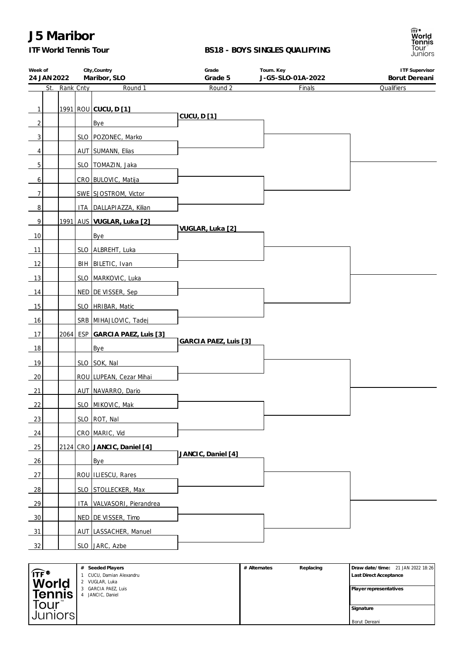## **J5 Maribor**

### *ITF World Tennis Tour*

#### **BS18 - BOYS SINGLES QUALIFYING**



| Week of<br>24 JAN 2022 |               | City, Country<br>Maribor, SLO  | Grade<br>Grade 5      | Tourn. Key<br>J-G5-SLO-01A-2022 | <b>ITF Supervisor</b><br>Borut Dereani |
|------------------------|---------------|--------------------------------|-----------------------|---------------------------------|----------------------------------------|
|                        | St. Rank Cnty | Round 1                        | Round 2               | Finals                          | Qualifiers                             |
|                        |               |                                |                       |                                 |                                        |
| 1                      |               | 1991 ROU CUCU, D [1]           | <b>CUCU, D[1]</b>     |                                 |                                        |
| $\overline{2}$         |               | Bye                            |                       |                                 |                                        |
| 3                      |               | SLO   POZONEC, Marko           |                       |                                 |                                        |
| 4                      |               | AUT SUMANN, Elias              |                       |                                 |                                        |
| 5                      |               | SLO   TOMAZIN, Jaka            |                       |                                 |                                        |
| 6                      |               | CRO BULOVIC, Matija            |                       |                                 |                                        |
| $\overline{7}$         |               | SWE SJOSTROM, Victor           |                       |                                 |                                        |
| 8                      |               | ITA DALLAPIAZZA, Kilian        |                       |                                 |                                        |
| 9                      |               | 1991 AUS VUGLAR, Luka [2]      |                       |                                 |                                        |
| 10                     |               | Bye                            | VUGLAR, Luka [2]      |                                 |                                        |
| 11                     |               | SLO ALBREHT, Luka              |                       |                                 |                                        |
| 12                     |               | BIH   BILETIC, Ivan            |                       |                                 |                                        |
| 13                     |               | SLO MARKOVIC, Luka             |                       |                                 |                                        |
| 14                     |               | NED DE VISSER, Sep             |                       |                                 |                                        |
| 15                     |               | SLO   HRIBAR, Matic            |                       |                                 |                                        |
| 16                     |               | SRB MIHAJLOVIC, Tadej          |                       |                                 |                                        |
| 17                     |               | 2064 ESP GARCIA PAEZ, Luis [3] |                       |                                 |                                        |
| 18                     |               | Bye                            | GARCIA PAEZ, Luis [3] |                                 |                                        |
| 19                     |               | SLO SOK, Nal                   |                       |                                 |                                        |
| 20                     |               | ROU LUPEAN, Cezar Mihai        |                       |                                 |                                        |
|                        |               |                                |                       |                                 |                                        |
| 21                     |               | AUT NAVARRO, Dario             |                       |                                 |                                        |
| 22                     |               | SLO   MIKOVIC, Mak             |                       |                                 |                                        |
| 23                     |               | SLO ROT, Nal                   |                       |                                 |                                        |
| 24                     |               | CRO MARIC, Vid                 |                       |                                 |                                        |
| 25                     |               | 2124 CRO JANCIC, Daniel [4]    | JANCIC, Daniel [4]    |                                 |                                        |
| 26                     |               | Bye                            |                       |                                 |                                        |
| 27                     |               | ROU ILIESCU, Rares             |                       |                                 |                                        |
| 28                     |               | SLO STOLLECKER, Max            |                       |                                 |                                        |
| 29                     |               | ITA VALVASORI, Pierandrea      |                       |                                 |                                        |
| 30                     |               | NED DE VISSER, Timo            |                       |                                 |                                        |
| 31                     |               | AUT LASSACHER, Manuel          |                       |                                 |                                        |
| 32                     |               | SLO JARC, Azbe                 |                       |                                 |                                        |
|                        |               |                                |                       |                                 |                                        |

|                  | # Seeded Players       | # Alternates | Replacing | Draw date/time: 21 JAN 2022 18:26 |
|------------------|------------------------|--------------|-----------|-----------------------------------|
| $\widehat{TF}^*$ | CUCU, Damian Alexandru |              |           | <b>Last Direct Acceptance</b>     |
| World            | 2 VUGLAR, Luka         |              |           |                                   |
|                  | 3 GARCIA PAEZ, Luis    |              |           | Player representatives            |
| <b>Tennis</b>    | JANCIC, Daniel         |              |           |                                   |
| Tour™            |                        |              |           |                                   |
|                  |                        |              |           | Signature                         |
| Juniors          |                        |              |           |                                   |
|                  |                        |              |           | Borut Dereani                     |